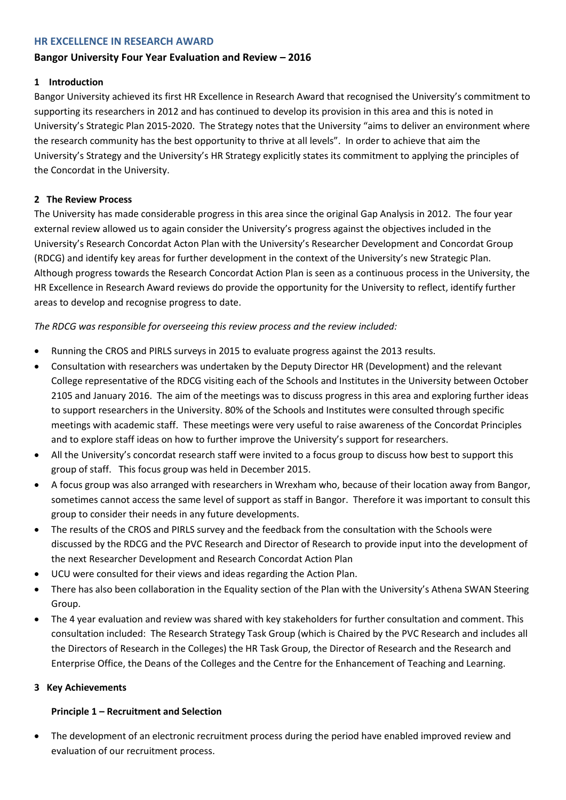#### **HR EXCELLENCE IN RESEARCH AWARD**

# **Bangor University Four Year Evaluation and Review – 2016**

# **1 Introduction**

Bangor University achieved its first HR Excellence in Research Award that recognised the University's commitment to supporting its researchers in 2012 and has continued to develop its provision in this area and this is noted in University's Strategic Plan 2015-2020. The Strategy notes that the University "aims to deliver an environment where the research community has the best opportunity to thrive at all levels". In order to achieve that aim the University's Strategy and the University's HR Strategy explicitly states its commitment to applying the principles of the Concordat in the University.

### **2 The Review Process**

The University has made considerable progress in this area since the original Gap Analysis in 2012. The four year external review allowed us to again consider the University's progress against the objectives included in the University's Research Concordat Acton Plan with the University's Researcher Development and Concordat Group (RDCG) and identify key areas for further development in the context of the University's new Strategic Plan. Although progress towards the Research Concordat Action Plan is seen as a continuous process in the University, the HR Excellence in Research Award reviews do provide the opportunity for the University to reflect, identify further areas to develop and recognise progress to date.

*The RDCG was responsible for overseeing this review process and the review included:*

- Running the CROS and PIRLS surveys in 2015 to evaluate progress against the 2013 results.
- Consultation with researchers was undertaken by the Deputy Director HR (Development) and the relevant College representative of the RDCG visiting each of the Schools and Institutes in the University between October 2105 and January 2016. The aim of the meetings was to discuss progress in this area and exploring further ideas to support researchers in the University. 80% of the Schools and Institutes were consulted through specific meetings with academic staff. These meetings were very useful to raise awareness of the Concordat Principles and to explore staff ideas on how to further improve the University's support for researchers.
- All the University's concordat research staff were invited to a focus group to discuss how best to support this group of staff. This focus group was held in December 2015.
- A focus group was also arranged with researchers in Wrexham who, because of their location away from Bangor, sometimes cannot access the same level of support as staff in Bangor. Therefore it was important to consult this group to consider their needs in any future developments.
- The results of the CROS and PIRLS survey and the feedback from the consultation with the Schools were discussed by the RDCG and the PVC Research and Director of Research to provide input into the development of the next Researcher Development and Research Concordat Action Plan
- UCU were consulted for their views and ideas regarding the Action Plan.
- There has also been collaboration in the Equality section of the Plan with the University's Athena SWAN Steering Group.
- The 4 year evaluation and review was shared with key stakeholders for further consultation and comment. This consultation included: The Research Strategy Task Group (which is Chaired by the PVC Research and includes all the Directors of Research in the Colleges) the HR Task Group, the Director of Research and the Research and Enterprise Office, the Deans of the Colleges and the Centre for the Enhancement of Teaching and Learning.

### **3 Key Achievements**

### **Principle 1 – Recruitment and Selection**

 The development of an electronic recruitment process during the period have enabled improved review and evaluation of our recruitment process.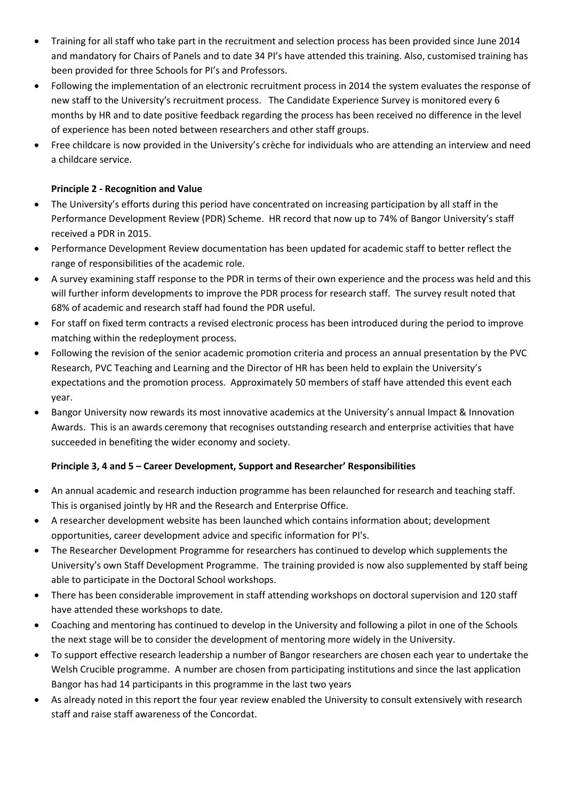- Training for all staff who take part in the recruitment and selection process has been provided since June 2014 and mandatory for Chairs of Panels and to date 34 PI's have attended this training. Also, customised training has been provided for three Schools for PI's and Professors.
- Following the implementation of an electronic recruitment process in 2014 the system evaluates the response of new staff to the University's recruitment process. The Candidate Experience Survey is monitored every 6 months by HR and to date positive feedback regarding the process has been received no difference in the level of experience has been noted between researchers and other staff groups.
- Free childcare is now provided in the University's crèche for individuals who are attending an interview and need a childcare service.

## **Principle 2 - Recognition and Value**

- The University's efforts during this period have concentrated on increasing participation by all staff in the Performance Development Review (PDR) Scheme. HR record that now up to 74% of Bangor University's staff received a PDR in 2015.
- Performance Development Review documentation has been updated for academic staff to better reflect the range of responsibilities of the academic role.
- A survey examining staff response to the PDR in terms of their own experience and the process was held and this will further inform developments to improve the PDR process for research staff. The survey result noted that 68% of academic and research staff had found the PDR useful.
- For staff on fixed term contracts a revised electronic process has been introduced during the period to improve matching within the redeployment process.
- Following the revision of the senior academic promotion criteria and process an annual presentation by the PVC Research, PVC Teaching and Learning and the Director of HR has been held to explain the University's expectations and the promotion process. Approximately 50 members of staff have attended this event each year.
- Bangor University now rewards its most innovative academics at the University's annual Impact & Innovation Awards. This is an awards ceremony that recognises outstanding research and enterprise activities that have succeeded in benefiting the wider economy and society.

### **Principle 3, 4 and 5 – Career Development, Support and Researcher' Responsibilities**

- An annual academic and research induction programme has been relaunched for research and teaching staff. This is organised jointly by HR and the Research and Enterprise Office.
- A researcher development website has been launched which contains information about; development opportunities, career development advice and specific information for PI's.
- The Researcher Development Programme for researchers has continued to develop which supplements the University's own Staff Development Programme. The training provided is now also supplemented by staff being able to participate in the Doctoral School workshops.
- There has been considerable improvement in staff attending workshops on doctoral supervision and 120 staff have attended these workshops to date.
- Coaching and mentoring has continued to develop in the University and following a pilot in one of the Schools the next stage will be to consider the development of mentoring more widely in the University.
- To support effective research leadership a number of Bangor researchers are chosen each year to undertake the Welsh Crucible programme. A number are chosen from participating institutions and since the last application Bangor has had 14 participants in this programme in the last two years
- As already noted in this report the four year review enabled the University to consult extensively with research staff and raise staff awareness of the Concordat.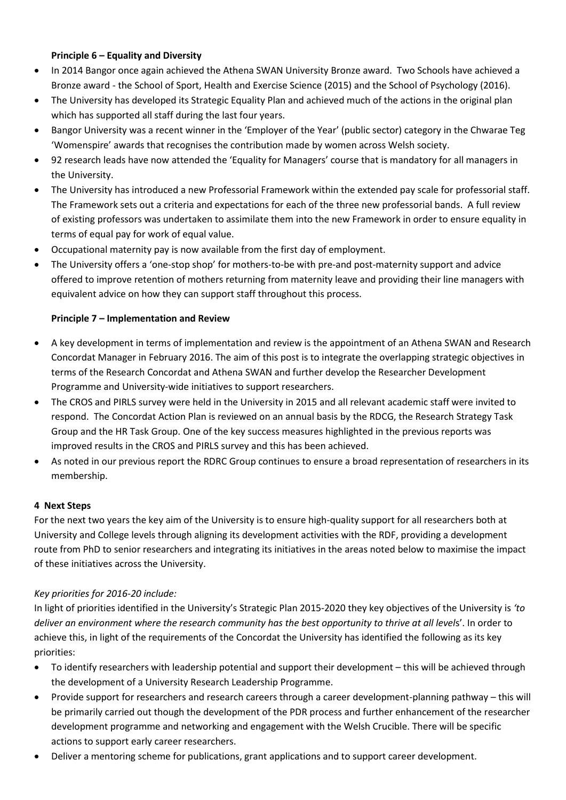### **Principle 6 – Equality and Diversity**

- In 2014 Bangor once again achieved the Athena SWAN University Bronze award. Two Schools have achieved a Bronze award - the School of Sport, Health and Exercise Science (2015) and the School of Psychology (2016).
- The University has developed its Strategic Equality Plan and achieved much of the actions in the original plan which has supported all staff during the last four years.
- Bangor University was a recent winner in the 'Employer of the Year' (public sector) category in the Chwarae Teg 'Womenspire' awards that recognises the contribution made by women across Welsh society.
- 92 research leads have now attended the 'Equality for Managers' course that is mandatory for all managers in the University.
- The University has introduced a new Professorial Framework within the extended pay scale for professorial staff. The Framework sets out a criteria and expectations for each of the three new professorial bands. A full review of existing professors was undertaken to assimilate them into the new Framework in order to ensure equality in terms of equal pay for work of equal value.
- Occupational maternity pay is now available from the first day of employment.
- The University offers a 'one-stop shop' for mothers-to-be with pre-and post-maternity support and advice offered to improve retention of mothers returning from maternity leave and providing their line managers with equivalent advice on how they can support staff throughout this process.

### **Principle 7 – Implementation and Review**

- A key development in terms of implementation and review is the appointment of an Athena SWAN and Research Concordat Manager in February 2016. The aim of this post is to integrate the overlapping strategic objectives in terms of the Research Concordat and Athena SWAN and further develop the Researcher Development Programme and University-wide initiatives to support researchers.
- The CROS and PIRLS survey were held in the University in 2015 and all relevant academic staff were invited to respond. The Concordat Action Plan is reviewed on an annual basis by the RDCG, the Research Strategy Task Group and the HR Task Group. One of the key success measures highlighted in the previous reports was improved results in the CROS and PIRLS survey and this has been achieved.
- As noted in our previous report the RDRC Group continues to ensure a broad representation of researchers in its membership.

### **4 Next Steps**

For the next two years the key aim of the University is to ensure high-quality support for all researchers both at University and College levels through aligning its development activities with the RDF, providing a development route from PhD to senior researchers and integrating its initiatives in the areas noted below to maximise the impact of these initiatives across the University.

### *Key priorities for 2016-20 include:*

In light of priorities identified in the University's Strategic Plan 2015-2020 they key objectives of the University is *'to deliver an environment where the research community has the best opportunity to thrive at all level*s'. In order to achieve this, in light of the requirements of the Concordat the University has identified the following as its key priorities:

- To identify researchers with leadership potential and support their development this will be achieved through the development of a University Research Leadership Programme.
- Provide support for researchers and research careers through a career development-planning pathway this will be primarily carried out though the development of the PDR process and further enhancement of the researcher development programme and networking and engagement with the Welsh Crucible. There will be specific actions to support early career researchers.
- Deliver a mentoring scheme for publications, grant applications and to support career development.